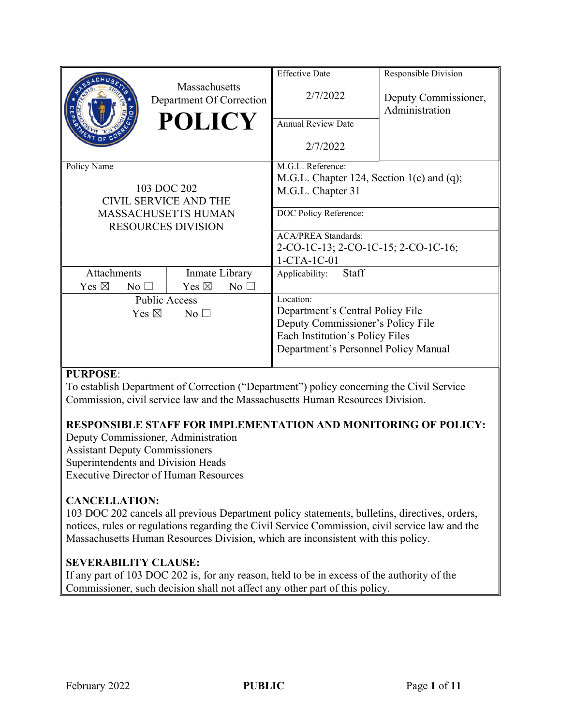|                                         |                                                         | <b>Effective Date</b>                     | Responsible Division                |  |
|-----------------------------------------|---------------------------------------------------------|-------------------------------------------|-------------------------------------|--|
|                                         | Massachusetts<br>Department Of Correction               | 2/7/2022                                  | Deputy Commissioner,                |  |
|                                         | <b>POLICY</b>                                           | <b>Annual Review Date</b>                 | Administration                      |  |
|                                         |                                                         |                                           |                                     |  |
|                                         |                                                         | 2/7/2022                                  |                                     |  |
| Policy Name                             |                                                         | M.G.L. Reference:                         |                                     |  |
|                                         |                                                         | M.G.L. Chapter 124, Section 1(c) and (q); |                                     |  |
|                                         | 103 DOC 202                                             | M.G.L. Chapter 31                         |                                     |  |
| CIVIL SERVICE AND THE                   |                                                         |                                           |                                     |  |
|                                         | <b>MASSACHUSETTS HUMAN</b><br><b>RESOURCES DIVISION</b> | DOC Policy Reference:                     |                                     |  |
|                                         |                                                         | <b>ACA/PREA Standards:</b>                |                                     |  |
|                                         |                                                         |                                           | 2-CO-1C-13; 2-CO-1C-15; 2-CO-1C-16; |  |
|                                         |                                                         | $1-CTA-1C-01$                             |                                     |  |
| <b>Attachments</b>                      | Inmate Library                                          | Staff<br>Applicability:                   |                                     |  |
| Yes $\boxtimes$<br>$\mathrm{No} \ \Box$ | Yes $\boxtimes$<br>$No$ $\square$                       |                                           |                                     |  |
| <b>Public Access</b>                    |                                                         | Location:                                 |                                     |  |
| Yes $\boxtimes$<br>$No$ $\square$       |                                                         | Department's Central Policy File          |                                     |  |
|                                         |                                                         | Deputy Commissioner's Policy File         |                                     |  |
|                                         |                                                         | Each Institution's Policy Files           |                                     |  |
|                                         |                                                         | Department's Personnel Policy Manual      |                                     |  |
|                                         |                                                         |                                           |                                     |  |

## PURPOSE:

To establish Department of Correction ("Department") policy concerning the Civil Service Commission, civil service law and the Massachusetts Human Resources Division.

# RESPONSIBLE STAFF FOR IMPLEMENTATION AND MONITORING OF POLICY:

Deputy Commissioner, Administration Assistant Deputy Commissioners Superintendents and Division Heads Executive Director of Human Resources

## CANCELLATION:

103 DOC 202 cancels all previous Department policy statements, bulletins, directives, orders, notices, rules or regulations regarding the Civil Service Commission, civil service law and the Massachusetts Human Resources Division, which are inconsistent with this policy.

## SEVERABILITY CLAUSE:

If any part of 103 DOC 202 is, for any reason, held to be in excess of the authority of the Commissioner, such decision shall not affect any other part of this policy.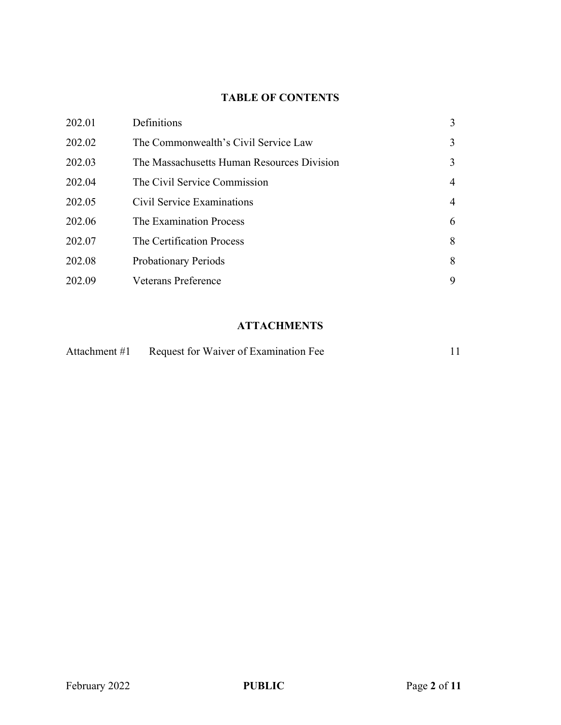# TABLE OF CONTENTS

| 202.01 | Definitions                                | 3 |
|--------|--------------------------------------------|---|
| 202.02 | The Commonwealth's Civil Service Law       | 3 |
| 202.03 | The Massachusetts Human Resources Division | 3 |
| 202.04 | The Civil Service Commission               | 4 |
| 202.05 | Civil Service Examinations                 | 4 |
| 202.06 | The Examination Process                    | 6 |
| 202.07 | The Certification Process                  | 8 |
| 202.08 | <b>Probationary Periods</b>                | 8 |
| 202.09 | <b>Veterans Preference</b>                 | 9 |

# **ATTACHMENTS**

|  | Attachment #1 Request for Waiver of Examination Fee |  |
|--|-----------------------------------------------------|--|
|--|-----------------------------------------------------|--|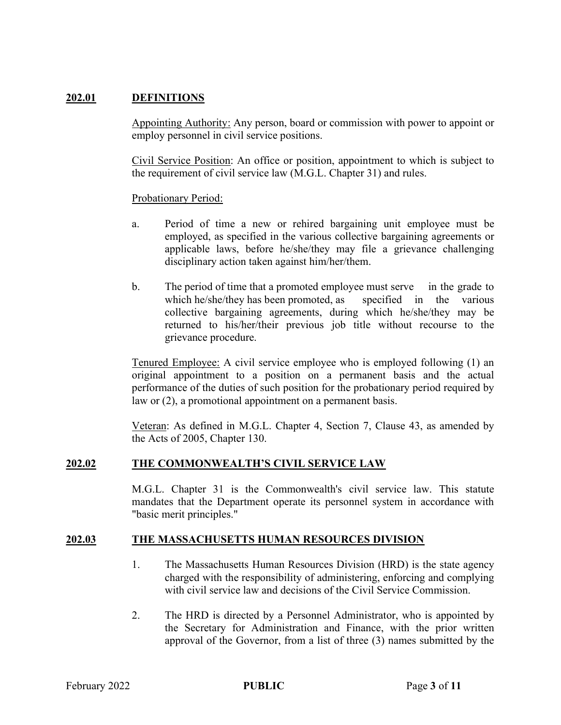#### 202.01 DEFINITIONS

Appointing Authority: Any person, board or commission with power to appoint or employ personnel in civil service positions.

Civil Service Position: An office or position, appointment to which is subject to the requirement of civil service law (M.G.L. Chapter 31) and rules.

#### Probationary Period:

- a. Period of time a new or rehired bargaining unit employee must be employed, as specified in the various collective bargaining agreements or applicable laws, before he/she/they may file a grievance challenging disciplinary action taken against him/her/them.
- b. The period of time that a promoted employee must serve in the grade to which he/she/they has been promoted, as specified in the various collective bargaining agreements, during which he/she/they may be returned to his/her/their previous job title without recourse to the grievance procedure.

Tenured Employee: A civil service employee who is employed following (1) an original appointment to a position on a permanent basis and the actual performance of the duties of such position for the probationary period required by law or (2), a promotional appointment on a permanent basis.

Veteran: As defined in M.G.L. Chapter 4, Section 7, Clause 43, as amended by the Acts of 2005, Chapter 130.

#### 202.02 THE COMMONWEALTH'S CIVIL SERVICE LAW

M.G.L. Chapter 31 is the Commonwealth's civil service law. This statute mandates that the Department operate its personnel system in accordance with "basic merit principles."

#### 202.03 THE MASSACHUSETTS HUMAN RESOURCES DIVISION

- 1. The Massachusetts Human Resources Division (HRD) is the state agency charged with the responsibility of administering, enforcing and complying with civil service law and decisions of the Civil Service Commission.
- 2. The HRD is directed by a Personnel Administrator, who is appointed by the Secretary for Administration and Finance, with the prior written approval of the Governor, from a list of three (3) names submitted by the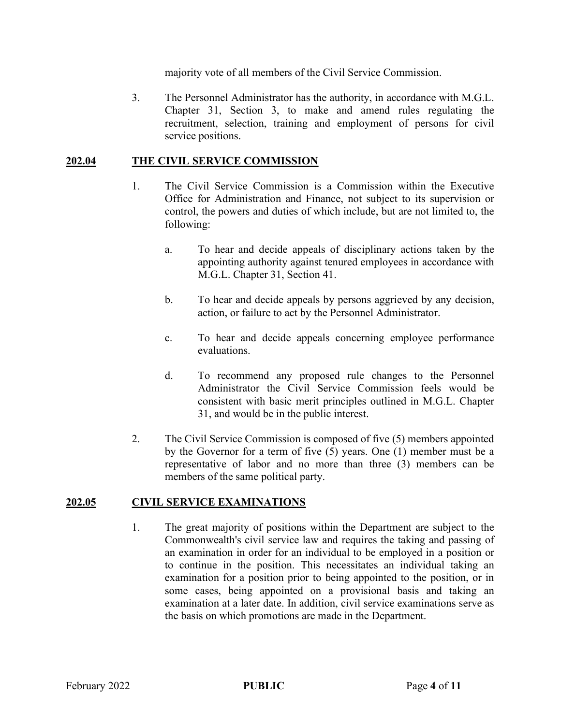majority vote of all members of the Civil Service Commission.

3. The Personnel Administrator has the authority, in accordance with M.G.L. Chapter 31, Section 3, to make and amend rules regulating the recruitment, selection, training and employment of persons for civil service positions.

#### 202.04 THE CIVIL SERVICE COMMISSION

- 1. The Civil Service Commission is a Commission within the Executive Office for Administration and Finance, not subject to its supervision or control, the powers and duties of which include, but are not limited to, the following:
	- a. To hear and decide appeals of disciplinary actions taken by the appointing authority against tenured employees in accordance with M.G.L. Chapter 31, Section 41.
	- b. To hear and decide appeals by persons aggrieved by any decision, action, or failure to act by the Personnel Administrator.
	- c. To hear and decide appeals concerning employee performance evaluations.
	- d. To recommend any proposed rule changes to the Personnel Administrator the Civil Service Commission feels would be consistent with basic merit principles outlined in M.G.L. Chapter 31, and would be in the public interest.
- 2. The Civil Service Commission is composed of five (5) members appointed by the Governor for a term of five (5) years. One (1) member must be a representative of labor and no more than three (3) members can be members of the same political party.

#### 202.05 CIVIL SERVICE EXAMINATIONS

1. The great majority of positions within the Department are subject to the Commonwealth's civil service law and requires the taking and passing of an examination in order for an individual to be employed in a position or to continue in the position. This necessitates an individual taking an examination for a position prior to being appointed to the position, or in some cases, being appointed on a provisional basis and taking an examination at a later date. In addition, civil service examinations serve as the basis on which promotions are made in the Department.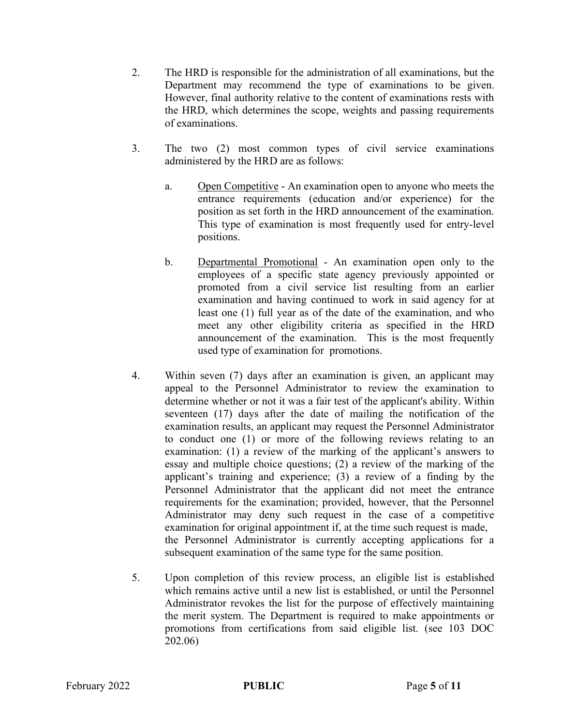- 2. The HRD is responsible for the administration of all examinations, but the Department may recommend the type of examinations to be given. However, final authority relative to the content of examinations rests with the HRD, which determines the scope, weights and passing requirements of examinations.
- 3. The two (2) most common types of civil service examinations administered by the HRD are as follows:
	- a. Open Competitive An examination open to anyone who meets the entrance requirements (education and/or experience) for the position as set forth in the HRD announcement of the examination. This type of examination is most frequently used for entry-level positions.
	- b. Departmental Promotional An examination open only to the employees of a specific state agency previously appointed or promoted from a civil service list resulting from an earlier examination and having continued to work in said agency for at least one (1) full year as of the date of the examination, and who meet any other eligibility criteria as specified in the HRD announcement of the examination. This is the most frequently used type of examination for promotions.
- 4. Within seven (7) days after an examination is given, an applicant may appeal to the Personnel Administrator to review the examination to determine whether or not it was a fair test of the applicant's ability. Within seventeen (17) days after the date of mailing the notification of the examination results, an applicant may request the Personnel Administrator to conduct one (1) or more of the following reviews relating to an examination: (1) a review of the marking of the applicant's answers to essay and multiple choice questions; (2) a review of the marking of the applicant's training and experience; (3) a review of a finding by the Personnel Administrator that the applicant did not meet the entrance requirements for the examination; provided, however, that the Personnel Administrator may deny such request in the case of a competitive examination for original appointment if, at the time such request is made, the Personnel Administrator is currently accepting applications for a subsequent examination of the same type for the same position.
- 5. Upon completion of this review process, an eligible list is established which remains active until a new list is established, or until the Personnel Administrator revokes the list for the purpose of effectively maintaining the merit system. The Department is required to make appointments or promotions from certifications from said eligible list. (see 103 DOC 202.06)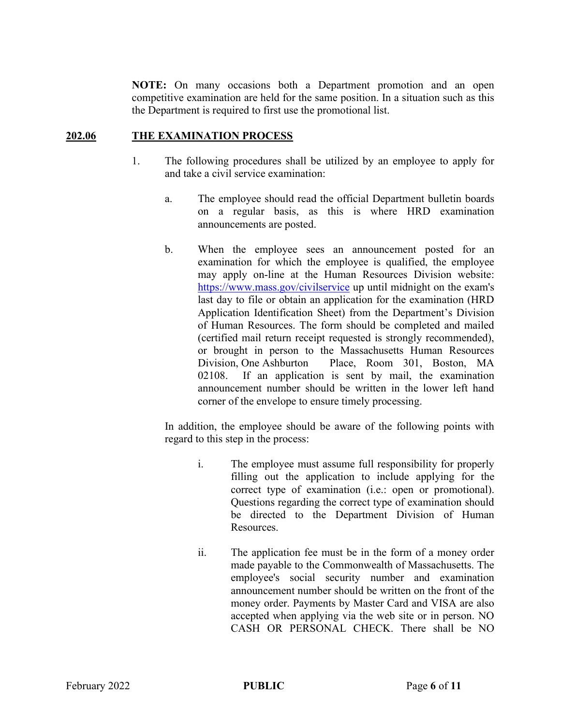NOTE: On many occasions both a Department promotion and an open competitive examination are held for the same position. In a situation such as this the Department is required to first use the promotional list.

#### 202.06 THE EXAMINATION PROCESS

- 1. The following procedures shall be utilized by an employee to apply for and take a civil service examination:
	- a. The employee should read the official Department bulletin boards on a regular basis, as this is where HRD examination announcements are posted.
	- b. When the employee sees an announcement posted for an examination for which the employee is qualified, the employee may apply on-line at the Human Resources Division website: https://www.mass.gov/civilservice up until midnight on the exam's last day to file or obtain an application for the examination (HRD Application Identification Sheet) from the Department's Division of Human Resources. The form should be completed and mailed (certified mail return receipt requested is strongly recommended), or brought in person to the Massachusetts Human Resources Division, One Ashburton Place, Room 301, Boston, MA 02108. If an application is sent by mail, the examination announcement number should be written in the lower left hand corner of the envelope to ensure timely processing.

In addition, the employee should be aware of the following points with regard to this step in the process:

- i. The employee must assume full responsibility for properly filling out the application to include applying for the correct type of examination (i.e.: open or promotional). Questions regarding the correct type of examination should be directed to the Department Division of Human Resources.
- ii. The application fee must be in the form of a money order made payable to the Commonwealth of Massachusetts. The employee's social security number and examination announcement number should be written on the front of the money order. Payments by Master Card and VISA are also accepted when applying via the web site or in person. NO CASH OR PERSONAL CHECK. There shall be NO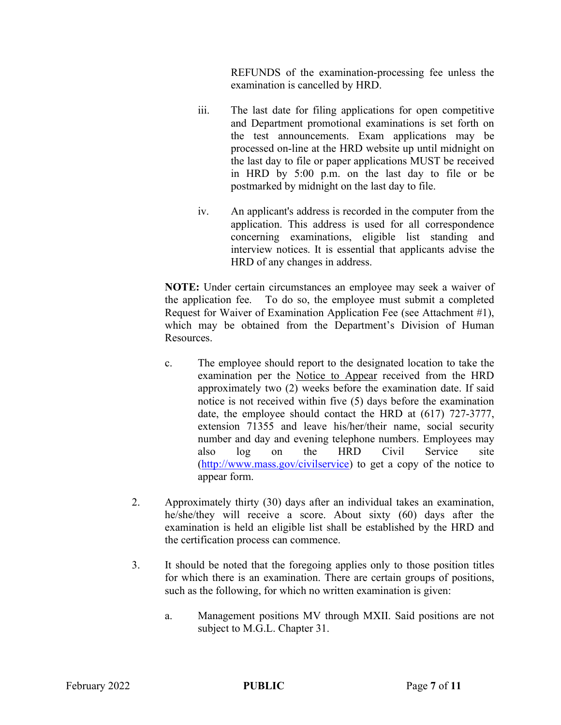REFUNDS of the examination-processing fee unless the examination is cancelled by HRD.

- iii. The last date for filing applications for open competitive and Department promotional examinations is set forth on the test announcements. Exam applications may be processed on-line at the HRD website up until midnight on the last day to file or paper applications MUST be received in HRD by 5:00 p.m. on the last day to file or be postmarked by midnight on the last day to file.
- iv. An applicant's address is recorded in the computer from the application. This address is used for all correspondence concerning examinations, eligible list standing and interview notices. It is essential that applicants advise the HRD of any changes in address.

NOTE: Under certain circumstances an employee may seek a waiver of the application fee. To do so, the employee must submit a completed Request for Waiver of Examination Application Fee (see Attachment #1), which may be obtained from the Department's Division of Human Resources.

- c. The employee should report to the designated location to take the examination per the Notice to Appear received from the HRD approximately two (2) weeks before the examination date. If said notice is not received within five (5) days before the examination date, the employee should contact the HRD at (617) 727-3777, extension 71355 and leave his/her/their name, social security number and day and evening telephone numbers. Employees may also log on the HRD Civil Service site (http://www.mass.gov/civilservice) to get a copy of the notice to appear form.
- 2. Approximately thirty (30) days after an individual takes an examination, he/she/they will receive a score. About sixty (60) days after the examination is held an eligible list shall be established by the HRD and the certification process can commence.
- 3. It should be noted that the foregoing applies only to those position titles for which there is an examination. There are certain groups of positions, such as the following, for which no written examination is given:
	- a. Management positions MV through MXII. Said positions are not subject to M.G.L. Chapter 31.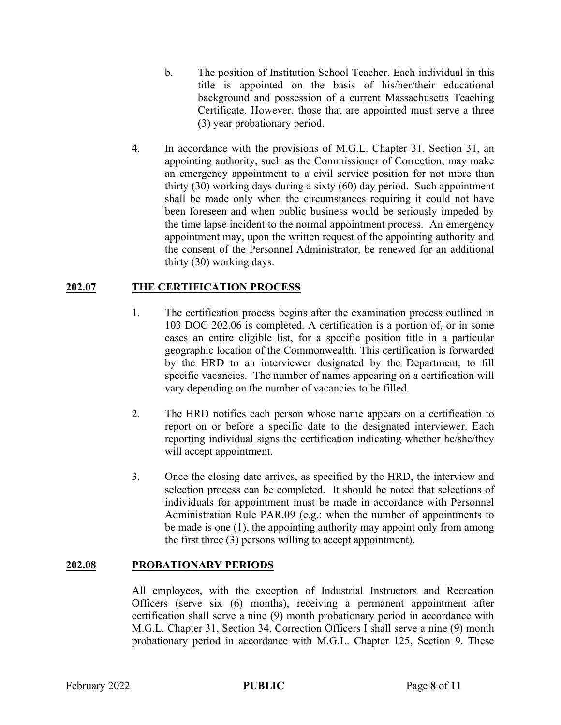- b. The position of Institution School Teacher. Each individual in this title is appointed on the basis of his/her/their educational background and possession of a current Massachusetts Teaching Certificate. However, those that are appointed must serve a three (3) year probationary period.
- 4. In accordance with the provisions of M.G.L. Chapter 31, Section 31, an appointing authority, such as the Commissioner of Correction, may make an emergency appointment to a civil service position for not more than thirty (30) working days during a sixty (60) day period. Such appointment shall be made only when the circumstances requiring it could not have been foreseen and when public business would be seriously impeded by the time lapse incident to the normal appointment process. An emergency appointment may, upon the written request of the appointing authority and the consent of the Personnel Administrator, be renewed for an additional thirty (30) working days.

## 202.07 THE CERTIFICATION PROCESS

- 1. The certification process begins after the examination process outlined in 103 DOC 202.06 is completed. A certification is a portion of, or in some cases an entire eligible list, for a specific position title in a particular geographic location of the Commonwealth. This certification is forwarded by the HRD to an interviewer designated by the Department, to fill specific vacancies. The number of names appearing on a certification will vary depending on the number of vacancies to be filled.
- 2. The HRD notifies each person whose name appears on a certification to report on or before a specific date to the designated interviewer. Each reporting individual signs the certification indicating whether he/she/they will accept appointment.
- 3. Once the closing date arrives, as specified by the HRD, the interview and selection process can be completed. It should be noted that selections of individuals for appointment must be made in accordance with Personnel Administration Rule PAR.09 (e.g.: when the number of appointments to be made is one (1), the appointing authority may appoint only from among the first three (3) persons willing to accept appointment).

#### 202.08 PROBATIONARY PERIODS

All employees, with the exception of Industrial Instructors and Recreation Officers (serve six (6) months), receiving a permanent appointment after certification shall serve a nine (9) month probationary period in accordance with M.G.L. Chapter 31, Section 34. Correction Officers I shall serve a nine (9) month probationary period in accordance with M.G.L. Chapter 125, Section 9. These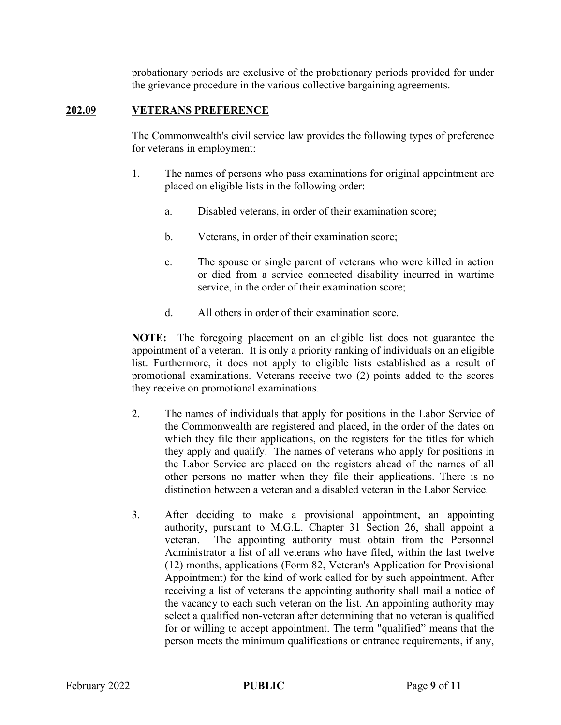probationary periods are exclusive of the probationary periods provided for under the grievance procedure in the various collective bargaining agreements.

#### 202.09 VETERANS PREFERENCE

The Commonwealth's civil service law provides the following types of preference for veterans in employment:

- 1. The names of persons who pass examinations for original appointment are placed on eligible lists in the following order:
	- a. Disabled veterans, in order of their examination score;
	- b. Veterans, in order of their examination score;
	- c. The spouse or single parent of veterans who were killed in action or died from a service connected disability incurred in wartime service, in the order of their examination score;
	- d. All others in order of their examination score.

NOTE: The foregoing placement on an eligible list does not guarantee the appointment of a veteran. It is only a priority ranking of individuals on an eligible list. Furthermore, it does not apply to eligible lists established as a result of promotional examinations. Veterans receive two (2) points added to the scores they receive on promotional examinations.

- 2. The names of individuals that apply for positions in the Labor Service of the Commonwealth are registered and placed, in the order of the dates on which they file their applications, on the registers for the titles for which they apply and qualify. The names of veterans who apply for positions in the Labor Service are placed on the registers ahead of the names of all other persons no matter when they file their applications. There is no distinction between a veteran and a disabled veteran in the Labor Service.
- 3. After deciding to make a provisional appointment, an appointing authority, pursuant to M.G.L. Chapter 31 Section 26, shall appoint a veteran. The appointing authority must obtain from the Personnel Administrator a list of all veterans who have filed, within the last twelve (12) months, applications (Form 82, Veteran's Application for Provisional Appointment) for the kind of work called for by such appointment. After receiving a list of veterans the appointing authority shall mail a notice of the vacancy to each such veteran on the list. An appointing authority may select a qualified non-veteran after determining that no veteran is qualified for or willing to accept appointment. The term "qualified" means that the person meets the minimum qualifications or entrance requirements, if any,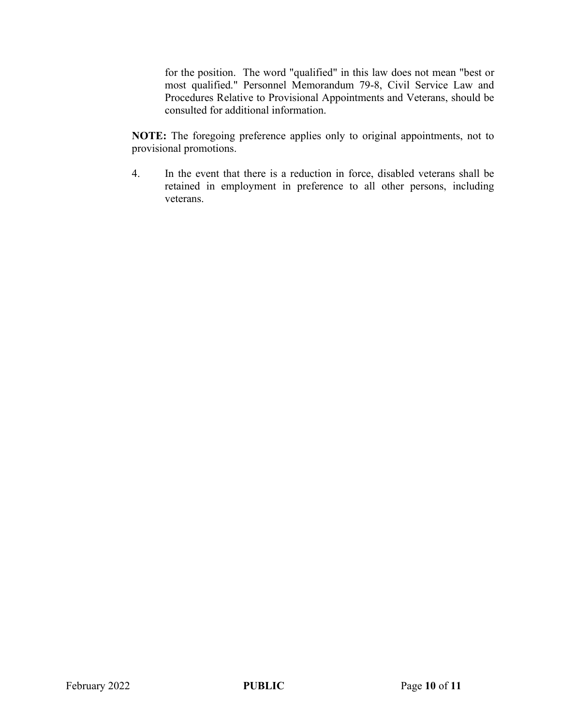for the position. The word "qualified" in this law does not mean "best or most qualified." Personnel Memorandum 79-8, Civil Service Law and Procedures Relative to Provisional Appointments and Veterans, should be consulted for additional information.

NOTE: The foregoing preference applies only to original appointments, not to provisional promotions.

4. In the event that there is a reduction in force, disabled veterans shall be retained in employment in preference to all other persons, including veterans.